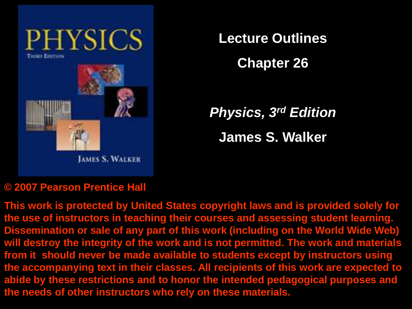

**Lecture Outlines**

**Chapter 26**

*Physics, 3rd Edition* **James S. Walker**

#### **© 2007 Pearson Prentice Hall**

**This work is protected by United States copyright laws and is provided solely for the use of instructors in teaching their courses and assessing student learning. Dissemination or sale of any part of this work (including on the World Wide Web) will destroy the integrity of the work and is not permitted. The work and materials from it should never be made available to students except by instructors using the accompanying text in their classes. All recipients of this work are expected to abide by these restrictions and to honor the intended pedagogical purposes and the needs of other instructors who rely on these materials.**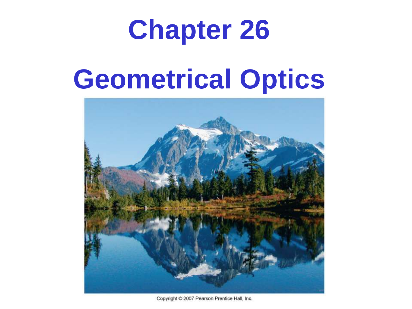# **Chapter 26**

# **Geometrical Optics**



Copyright C 2007 Pearson Prentice Hall, Inc.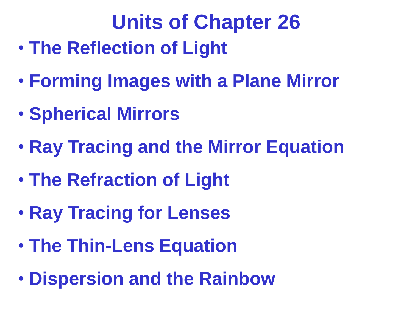# **Units of Chapter 26**

- **The Reflection of Light**
- **Forming Images with a Plane Mirror**
- **Spherical Mirrors**
- **Ray Tracing and the Mirror Equation**
- **The Refraction of Light**
- **Ray Tracing for Lenses**
- **The Thin-Lens Equation**
- **Dispersion and the Rainbow**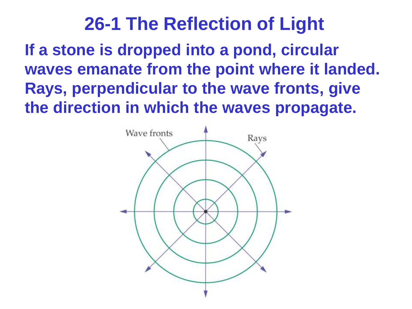**If a stone is dropped into a pond, circular waves emanate from the point where it landed. Rays, perpendicular to the wave fronts, give the direction in which the waves propagate.**

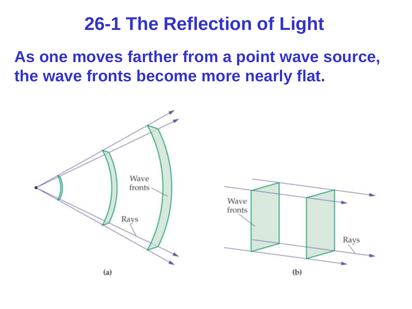**As one moves farther from a point wave source, the wave fronts become more nearly flat.**

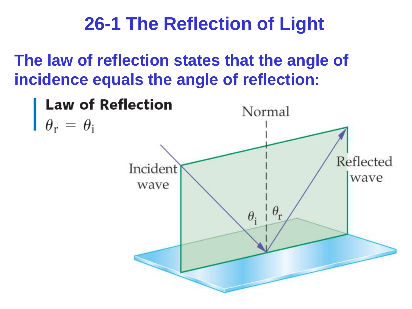**The law of reflection states that the angle of incidence equals the angle of reflection:**

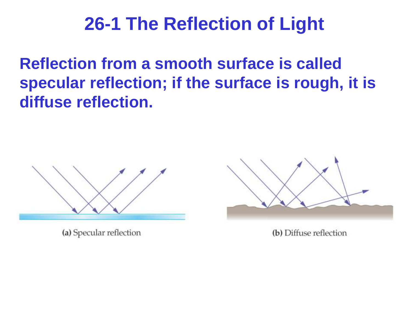**Reflection from a smooth surface is called specular reflection; if the surface is rough, it is diffuse reflection.**



(a) Specular reflection



(b) Diffuse reflection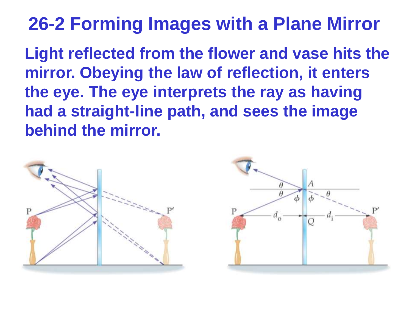## **26-2 Forming Images with a Plane Mirror**

**Light reflected from the flower and vase hits the mirror. Obeying the law of reflection, it enters the eye. The eye interprets the ray as having had a straight-line path, and sees the image behind the mirror.**

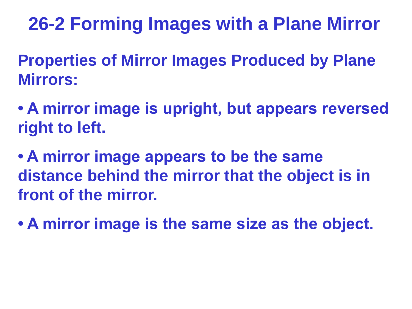## **26-2 Forming Images with a Plane Mirror**

**Properties of Mirror Images Produced by Plane Mirrors:**

**• A mirror image is upright, but appears reversed right to left.**

**• A mirror image appears to be the same distance behind the mirror that the object is in front of the mirror.**

**• A mirror image is the same size as the object.**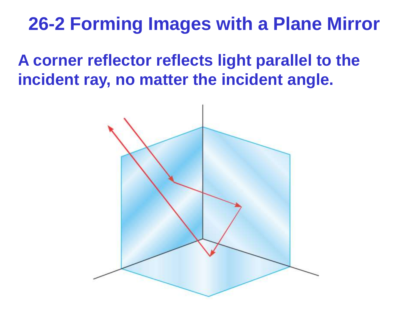## **26-2 Forming Images with a Plane Mirror**

**A corner reflector reflects light parallel to the incident ray, no matter the incident angle.**

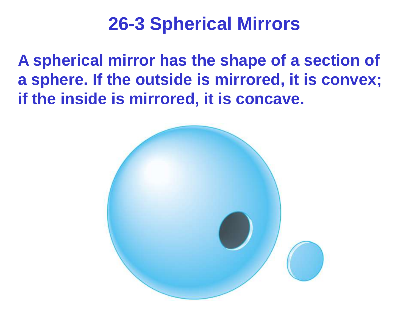**A spherical mirror has the shape of a section of a sphere. If the outside is mirrored, it is convex; if the inside is mirrored, it is concave.**

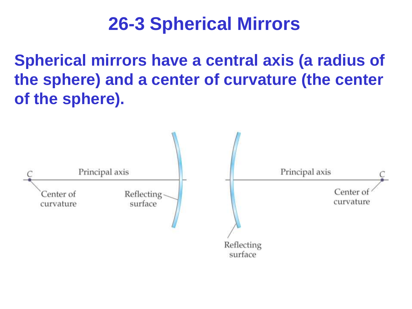**Spherical mirrors have a central axis (a radius of the sphere) and a center of curvature (the center of the sphere).**

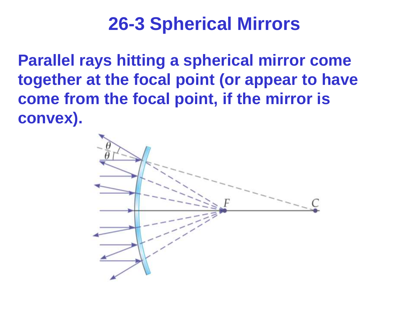**Parallel rays hitting a spherical mirror come together at the focal point (or appear to have come from the focal point, if the mirror is convex).**

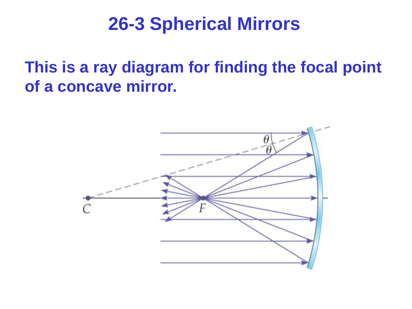**This is a ray diagram for finding the focal point of a concave mirror.**

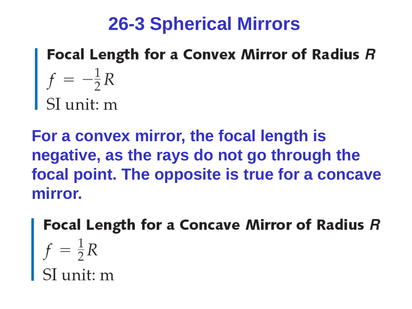Focal Length for a Convex Mirror of Radius R  $f = -\frac{1}{2}R$ <br>SI unit: m

**For a convex mirror, the focal length is negative, as the rays do not go through the focal point. The opposite is true for a concave mirror.**

**Focal Length for a Concave Mirror of Radius R**<br> $f = \frac{1}{2}R$ <br>SI unit: m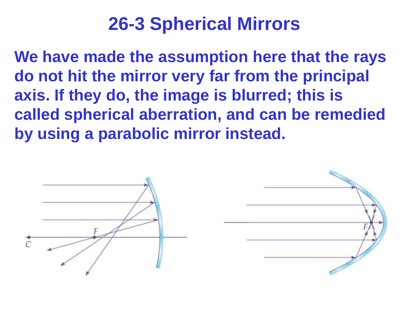**We have made the assumption here that the rays do not hit the mirror very far from the principal axis. If they do, the image is blurred; this is called spherical aberration, and can be remedied by using a parabolic mirror instead.**



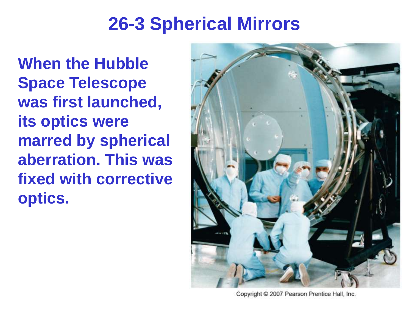**When the Hubble Space Telescope was first launched, its optics were marred by spherical aberration. This was fixed with corrective optics.**



Copyright @ 2007 Pearson Prentice Hall, Inc.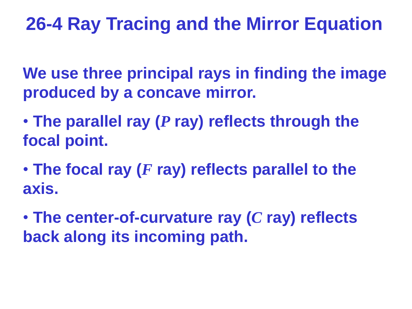**We use three principal rays in finding the image produced by a concave mirror.**

- **The parallel ray (***P* **ray) reflects through the focal point.**
- **The focal ray (***F* **ray) reflects parallel to the axis.**

• **The center-of-curvature ray (***C* **ray) reflects back along its incoming path.**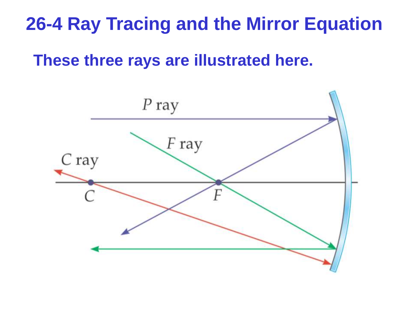**These three rays are illustrated here.**

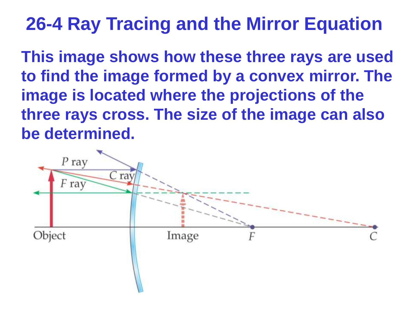**This image shows how these three rays are used to find the image formed by a convex mirror. The image is located where the projections of the three rays cross. The size of the image can also be determined.**

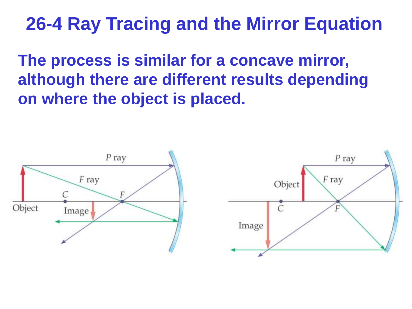**The process is similar for a concave mirror, although there are different results depending on where the object is placed.**

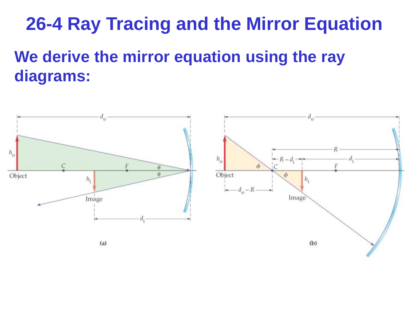## **We derive the mirror equation using the ray diagrams:**

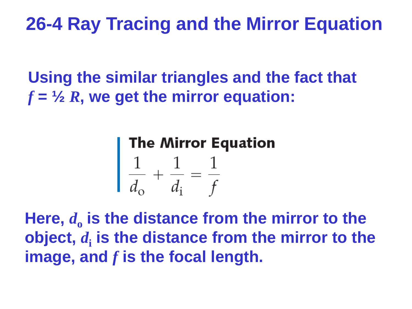**Using the similar triangles and the fact that**  *f* **= ½** *R***, we get the mirror equation:**

# **The Mirror Equation**<br> $\frac{1}{d_{\circ}} + \frac{1}{d_{\circ}} = \frac{1}{f}$

Here,  $d_0$  is the distance from the mirror to the **object,** *d***<sup>i</sup> is the distance from the mirror to the image, and** *f* **is the focal length.**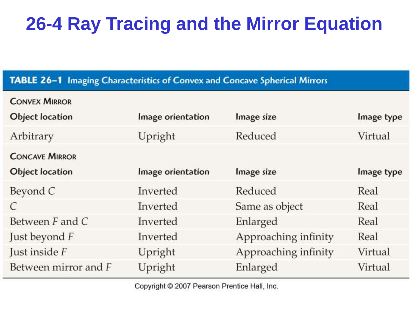#### TABLE 26-1 Imaging Characteristics of Convex and Concave Spherical Mirrors

| <b>CONVEX MIRROR</b>   |                   |                      |            |
|------------------------|-------------------|----------------------|------------|
| <b>Object location</b> | Image orientation | Image size           | Image type |
| Arbitrary              | Upright           | Reduced              | Virtual    |
| <b>CONCAVE MIRROR</b>  |                   |                      |            |
| <b>Object location</b> | Image orientation | Image size           | Image type |
| Beyond C               | Inverted          | Reduced              | Real       |
| C                      | Inverted          | Same as object       | Real       |
| Between $F$ and $C$    | Inverted          | Enlarged             | Real       |
| Just beyond F          | Inverted          | Approaching infinity | Real       |
| Just inside F          | Upright           | Approaching infinity | Virtual    |
| Between mirror and F   | Upright           | Enlarged             | Virtual    |

Copyright © 2007 Pearson Prentice Hall, Inc.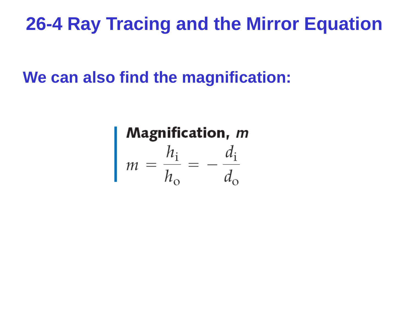**We can also find the magnification:**

**Magnification, m**<br>  $m = \frac{h_i}{h_o} = -\frac{d_i}{d_o}$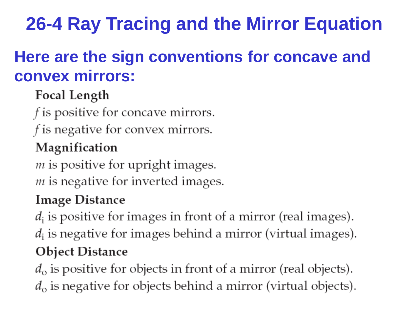## **Here are the sign conventions for concave and convex mirrors:**

#### Focal Length

f is positive for concave mirrors.

f is negative for convex mirrors.

#### Magnification

 $m$  is positive for upright images.  *is negative for inverted images.* 

#### **Image Distance**

 $d_i$  is positive for images in front of a mirror (real images).  $d_i$  is negative for images behind a mirror (virtual images). **Object Distance** 

 $d_{\rm o}$  is positive for objects in front of a mirror (real objects).  $d_{\rm o}$  is negative for objects behind a mirror (virtual objects).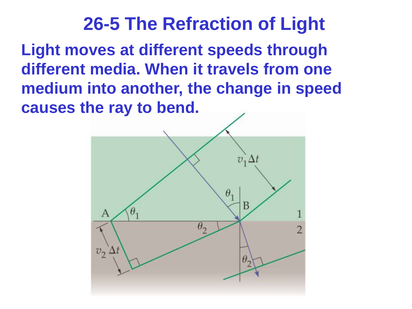**Light moves at different speeds through different media. When it travels from one medium into another, the change in speed causes the ray to bend.**

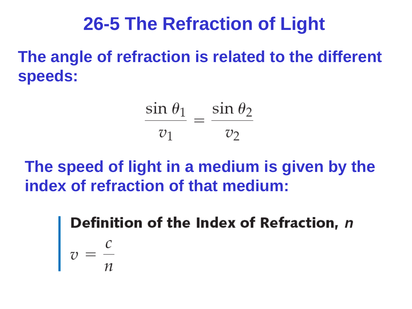**The angle of refraction is related to the different speeds:**

 $rac{\sin \theta_1}{v_1} = \frac{\sin \theta_2}{v_2}$ 

**The speed of light in a medium is given by the index of refraction of that medium:**

Definition of the Index of Refraction, n  $v = \frac{c}{n}$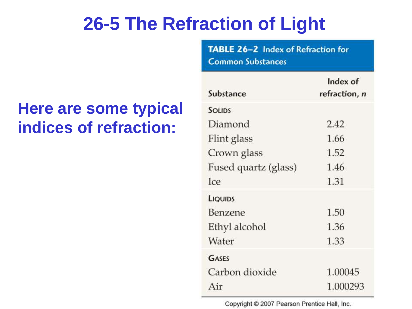### **Here are some typical indices of refraction:**

| <b>Common Substances</b> |                           |  |  |
|--------------------------|---------------------------|--|--|
| Substance                | Index of<br>refraction, n |  |  |
| <b>SOLIDS</b>            |                           |  |  |
| Diamond                  | 2.42                      |  |  |
| Flint glass              | 1.66                      |  |  |
| Crown glass              | 1.52                      |  |  |
| Fused quartz (glass)     | 1.46                      |  |  |
| Ice                      | 1.31                      |  |  |
| LIQUIDS                  |                           |  |  |
| Benzene                  | 1.50                      |  |  |
| Ethyl alcohol            | 1.36                      |  |  |
| Water                    | 1.33                      |  |  |
| GASES                    |                           |  |  |
| Carbon dioxide           | 1.00045                   |  |  |
| Air                      | 1.000293                  |  |  |

TABLE 26-2 Index of Refraction for

Copyright © 2007 Pearson Prentice Hall, Inc.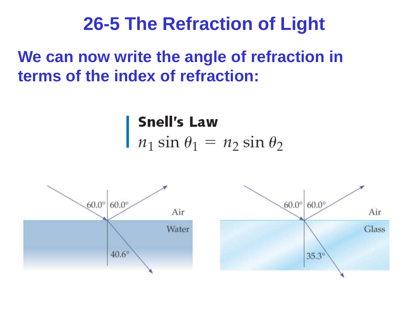## **We can now write the angle of refraction in terms of the index of refraction:**

**Snell's Law**  $n_1 \sin \theta_1 = n_2 \sin \theta_2$ 

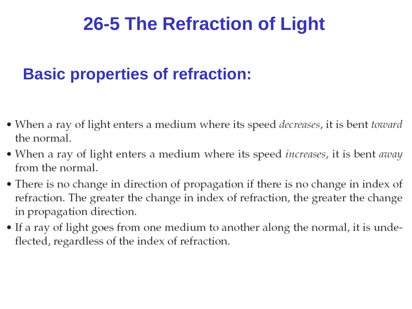## **Basic properties of refraction:**

- When a ray of light enters a medium where its speed *decreases*, it is bent *toward* the normal.
- When a ray of light enters a medium where its speed *increases*, it is bent *away* from the normal.
- There is no change in direction of propagation if there is no change in index of refraction. The greater the change in index of refraction, the greater the change in propagation direction.
- If a ray of light goes from one medium to another along the normal, it is undeflected, regardless of the index of refraction.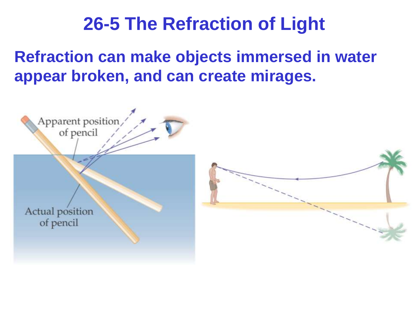**Refraction can make objects immersed in water appear broken, and can create mirages.**

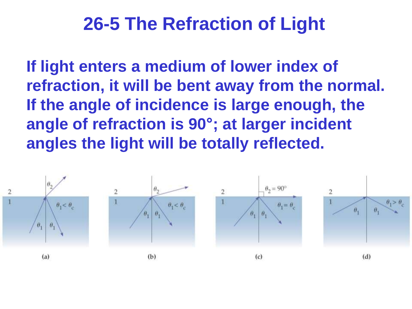**If light enters a medium of lower index of refraction, it will be bent away from the normal. If the angle of incidence is large enough, the angle of refraction is 90°; at larger incident angles the light will be totally reflected.** 

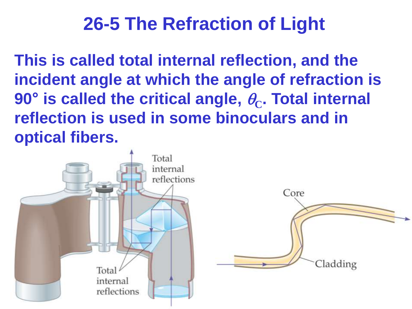**This is called total internal reflection, and the incident angle at which the angle of refraction is**   $90^{\circ}$  is called the critical angle,  $\theta_{\text{C}}$ . Total internal **reflection is used in some binoculars and in optical fibers.**

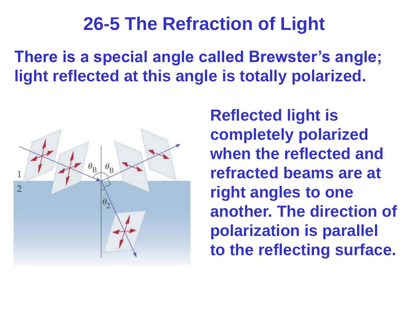**There is a special angle called Brewster's angle; light reflected at this angle is totally polarized.**



**Reflected light is completely polarized when the reflected and refracted beams are at right angles to one another. The direction of polarization is parallel to the reflecting surface.**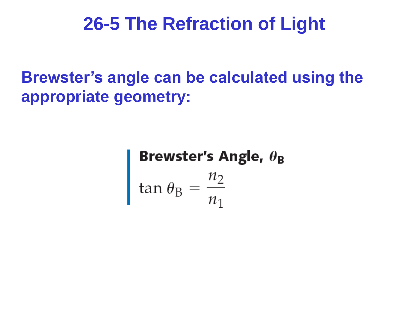**Brewster's angle can be calculated using the appropriate geometry:**

**Brewster's Angle,**  $\theta_B$ <br>tan  $\theta_B = \frac{n_2}{n_1}$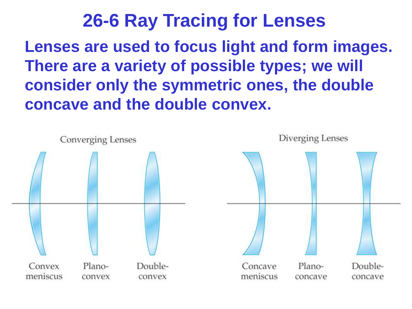## **26-6 Ray Tracing for Lenses Lenses are used to focus light and form images. There are a variety of possible types; we will consider only the symmetric ones, the double concave and the double convex.**

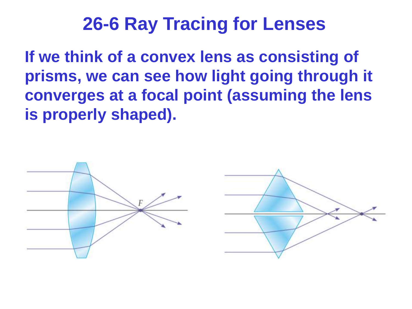**If we think of a convex lens as consisting of prisms, we can see how light going through it converges at a focal point (assuming the lens is properly shaped).**

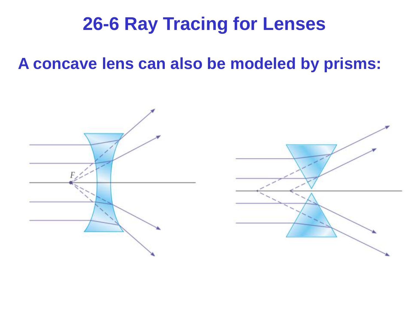#### **A concave lens can also be modeled by prisms:**

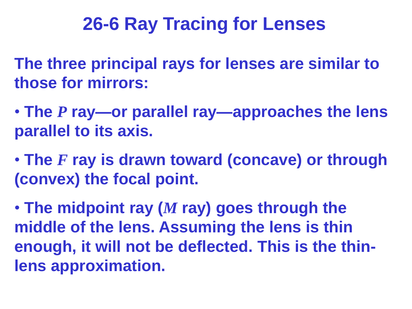**The three principal rays for lenses are similar to those for mirrors:**

- **The** *P* **ray—or parallel ray—approaches the lens parallel to its axis.**
- **The** *F* **ray is drawn toward (concave) or through (convex) the focal point.**

• **The midpoint ray (***M* **ray) goes through the middle of the lens. Assuming the lens is thin enough, it will not be deflected. This is the thinlens approximation.**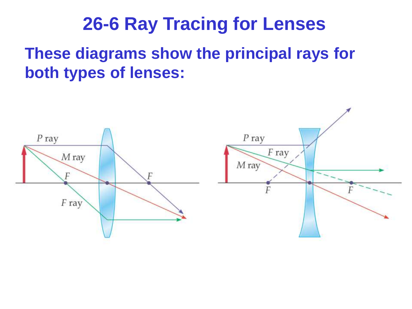**These diagrams show the principal rays for both types of lenses:**

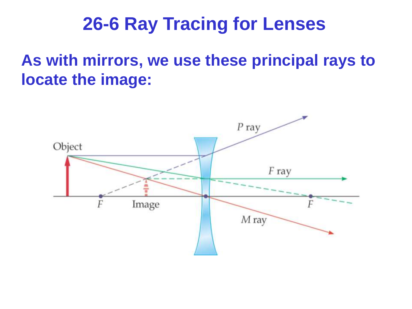**As with mirrors, we use these principal rays to locate the image:**

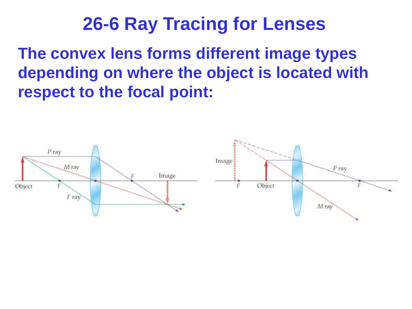**The convex lens forms different image types depending on where the object is located with respect to the focal point:**

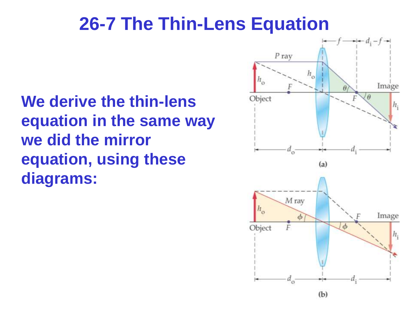## **26-7 The Thin-Lens Equation**

**We derive the thin-lens equation in the same way we did the mirror equation, using these diagrams:**

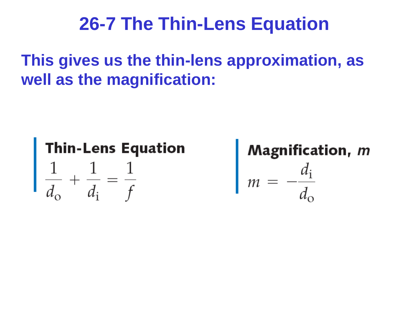## **26-7 The Thin-Lens Equation**

**This gives us the thin-lens approximation, as well as the magnification:**



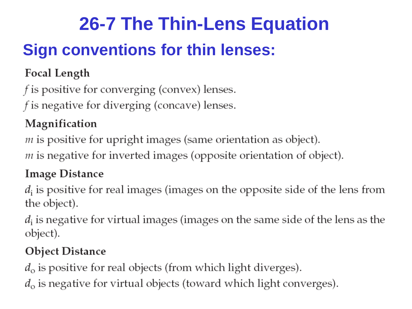## **26-7 The Thin-Lens Equation**

## **Sign conventions for thin lenses:**

#### Focal Length

 $f$  is positive for converging (convex) lenses.

 $f$  is negative for diverging (concave) lenses.

#### Magnification

 $m$  is positive for upright images (same orientation as object).

 $m$  is negative for inverted images (opposite orientation of object).

#### **Image Distance**

 $d_i$  is positive for real images (images on the opposite side of the lens from the object).

 $d_i$  is negative for virtual images (images on the same side of the lens as the object).

#### **Object Distance**

 $d_{\rm o}$  is positive for real objects (from which light diverges).

 $d_{\rm o}$  is negative for virtual objects (toward which light converges).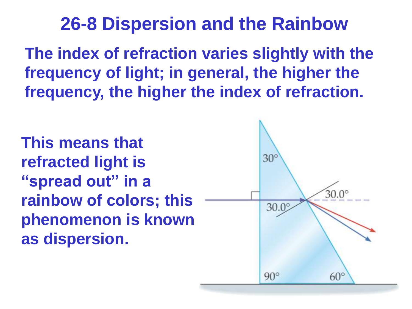**The index of refraction varies slightly with the frequency of light; in general, the higher the frequency, the higher the index of refraction.**

**This means that refracted light is "spread out" in a rainbow of colors; this phenomenon is known as dispersion.**

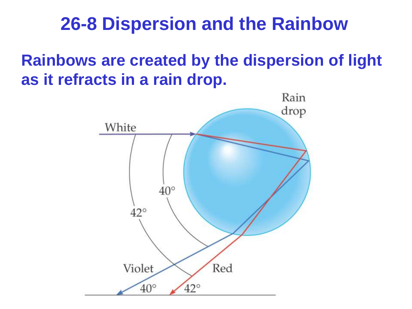**Rainbows are created by the dispersion of light as it refracts in a rain drop.**

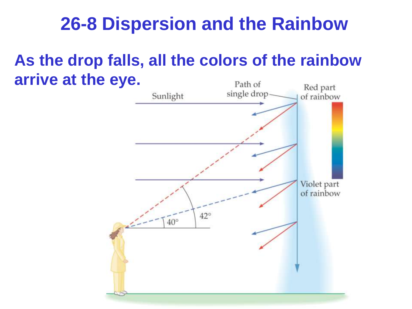#### **As the drop falls, all the colors of the rainbow arrive at the eye.**Path of

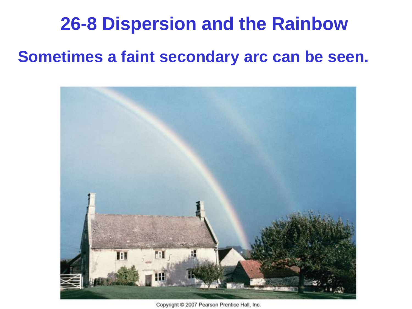#### **Sometimes a faint secondary arc can be seen.**



Copyright @ 2007 Pearson Prentice Hall, Inc.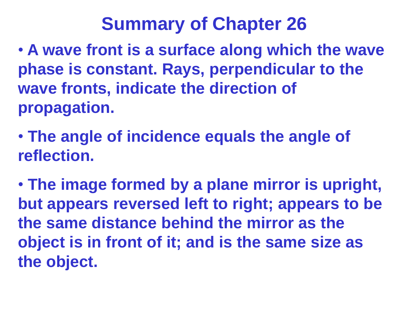- **A wave front is a surface along which the wave phase is constant. Rays, perpendicular to the wave fronts, indicate the direction of propagation.**
- **The angle of incidence equals the angle of reflection.**
- **The image formed by a plane mirror is upright, but appears reversed left to right; appears to be the same distance behind the mirror as the object is in front of it; and is the same size as the object.**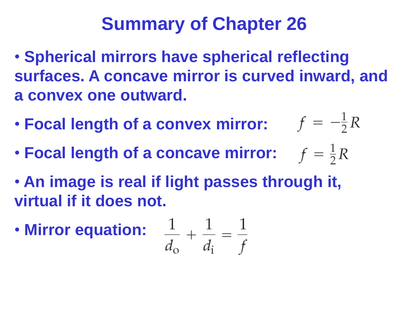- **Spherical mirrors have spherical reflecting surfaces. A concave mirror is curved inward, and a convex one outward.**
- **Focal length of a convex mirror:**  $f = -\frac{1}{2}R$
- **Focal length of a concave mirror:**  $f = \frac{1}{2}R$
- **An image is real if light passes through it, virtual if it does not.**
- **Mirror equation:**

$$
\frac{1}{d_{\rm o}} + \frac{1}{d_{\rm i}} = \frac{1}{f}
$$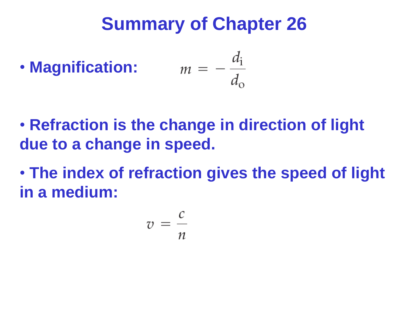• Magnification: 
$$
m = -\frac{d_i}{d_o}
$$

- **Refraction is the change in direction of light due to a change in speed.**
- **The index of refraction gives the speed of light in a medium:**

$$
v = \frac{c}{n}
$$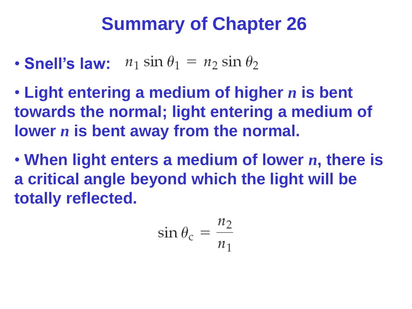- **Snell's law:**  $n_1 \sin \theta_1 = n_2 \sin \theta_2$
- **Light entering a medium of higher** *n* **is bent towards the normal; light entering a medium of lower** *n* **is bent away from the normal.**
- **When light enters a medium of lower** *n***, there is a critical angle beyond which the light will be totally reflected.**

$$
\sin \theta_{\rm c} = \frac{n_2}{n_1}
$$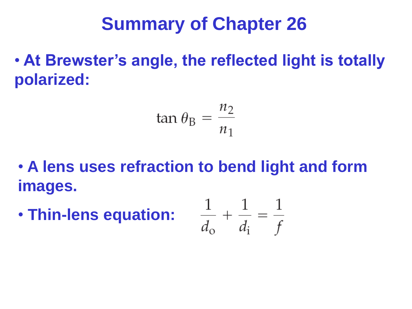• **At Brewster's angle, the reflected light is totally polarized:**

$$
an \theta_{\rm B} = \frac{n_2}{n_1}
$$

- **A lens uses refraction to bend light and form images.**
- **Thin-lens equation:**

$$
\frac{1}{d_{\rm o}} + \frac{1}{d_{\rm i}} = \frac{1}{f}
$$